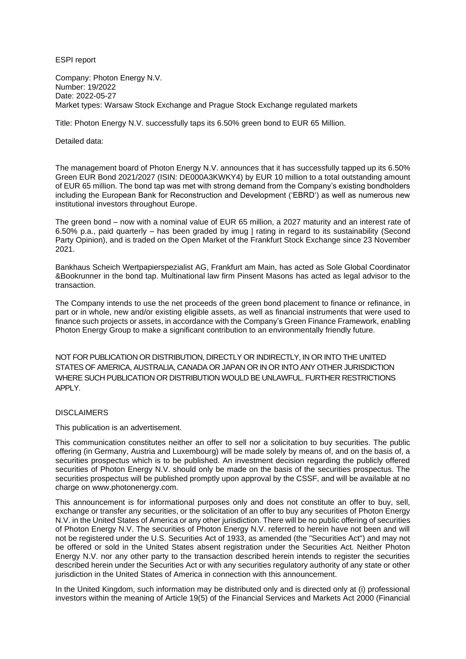ESPI report

Company: Photon Energy N.V. Number: 19/2022 Date: 2022-05-27 Market types: Warsaw Stock Exchange and Prague Stock Exchange regulated markets

Title: Photon Energy N.V. successfully taps its 6.50% green bond to EUR 65 Million.

Detailed data:

The management board of Photon Energy N.V. announces that it has successfully tapped up its 6.50% Green EUR Bond 2021/2027 (ISIN: DE000A3KWKY4) by EUR 10 million to a total outstanding amount of EUR 65 million. The bond tap was met with strong demand from the Company's existing bondholders including the European Bank for Reconstruction and Development ('EBRD') as well as numerous new institutional investors throughout Europe.

The green bond – now with a nominal value of EUR 65 million, a 2027 maturity and an interest rate of 6.50% p.a., paid quarterly – has been graded by imug | rating in regard to its sustainability (Second Party Opinion), and is traded on the Open Market of the Frankfurt Stock Exchange since 23 November 2021.

Bankhaus Scheich Wertpapierspezialist AG, Frankfurt am Main, has acted as Sole Global Coordinator &Bookrunner in the bond tap. Multinational law firm Pinsent Masons has acted as legal advisor to the transaction.

The Company intends to use the net proceeds of the green bond placement to finance or refinance, in part or in whole, new and/or existing eligible assets, as well as financial instruments that were used to finance such projects or assets, in accordance with the Company's Green Finance Framework, enabling Photon Energy Group to make a significant contribution to an environmentally friendly future.

NOT FOR PUBLICATION OR DISTRIBUTION, DIRECTLY OR INDIRECTLY, IN OR INTO THE UNITED STATES OF AMERICA, AUSTRALIA, CANADA OR JAPAN OR IN OR INTO ANY OTHER JURISDICTION WHERE SUCH PUBLICATION OR DISTRIBUTION WOULD BE UNLAWFUL. FURTHER RESTRICTIONS APPLY.

## **DISCLAIMERS**

This publication is an advertisement.

This communication constitutes neither an offer to sell nor a solicitation to buy securities. The public offering (in Germany, Austria and Luxembourg) will be made solely by means of, and on the basis of, a securities prospectus which is to be published. An investment decision regarding the publicly offered securities of Photon Energy N.V. should only be made on the basis of the securities prospectus. The securities prospectus will be published promptly upon approval by the CSSF, and will be available at no charge on www.photonenergy.com.

This announcement is for informational purposes only and does not constitute an offer to buy, sell, exchange or transfer any securities, or the solicitation of an offer to buy any securities of Photon Energy N.V. in the United States of America or any other jurisdiction. There will be no public offering of securities of Photon Energy N.V. The securities of Photon Energy N.V. referred to herein have not been and will not be registered under the U.S. Securities Act of 1933, as amended (the "Securities Act") and may not be offered or sold in the United States absent registration under the Securities Act. Neither Photon Energy N.V. nor any other party to the transaction described herein intends to register the securities described herein under the Securities Act or with any securities regulatory authority of any state or other jurisdiction in the United States of America in connection with this announcement.

In the United Kingdom, such information may be distributed only and is directed only at (i) professional investors within the meaning of Article 19(5) of the Financial Services and Markets Act 2000 (Financial